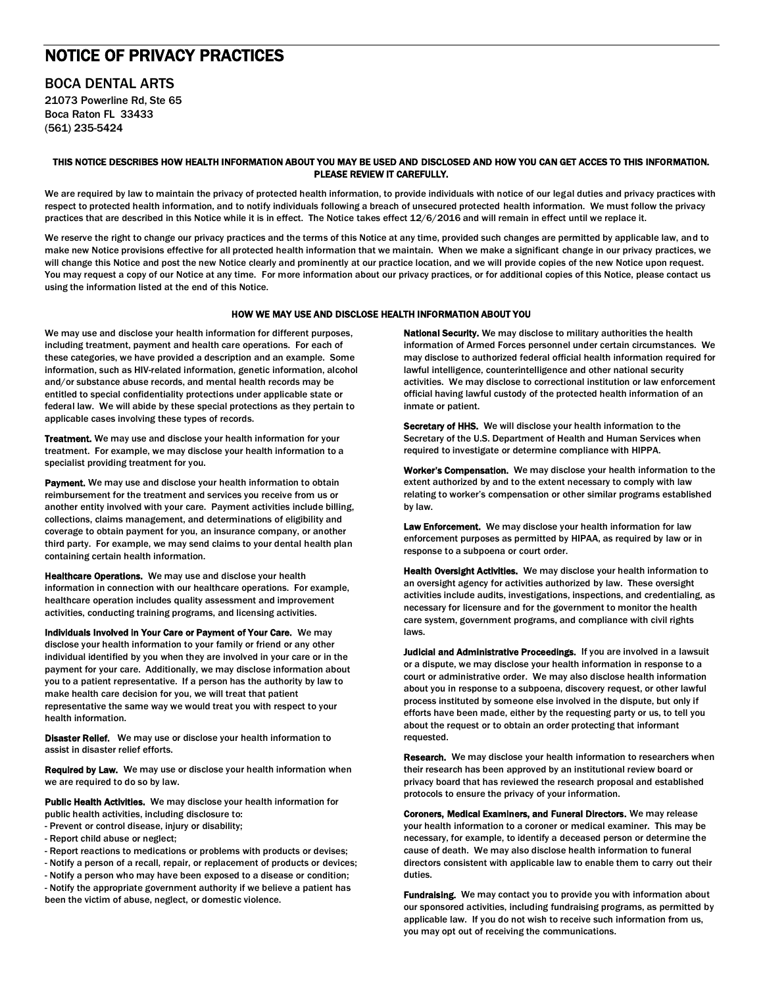# NOTICE OF PRIVACY PRACTICES

# BOCA DENTAL ARTS

21073 Powerline Rd, Ste 65 Boca Raton FL 33433 (561) 235-5424

### THIS NOTICE DESCRIBES HOW HEALTH INFORMATION ABOUT YOU MAY BE USED AND DISCLOSED AND HOW YOU CAN GET ACCES TO THIS INFORMATION. PLEASE REVIEW IT CAREFULLY.

We are required by law to maintain the privacy of protected health information, to provide individuals with notice of our legal duties and privacy practices with respect to protected health information, and to notify individuals following a breach of unsecured protected health information. We must follow the privacy practices that are described in this Notice while it is in effect. The Notice takes effect 12/6/2016 and will remain in effect until we replace it.

We reserve the right to change our privacy practices and the terms of this Notice at any time, provided such changes are permitted by applicable law, and to make new Notice provisions effective for all protected health information that we maintain. When we make a significant change in our privacy practices, we will change this Notice and post the new Notice clearly and prominently at our practice location, and we will provide copies of the new Notice upon request. You may request a copy of our Notice at any time. For more information about our privacy practices, or for additional copies of this Notice, please contact us using the information listed at the end of this Notice.

## HOW WE MAY USE AND DISCLOSE HEALTH INFORMATION ABOUT YOU

We may use and disclose your health information for different purposes, including treatment, payment and health care operations. For each of these categories, we have provided a description and an example. Some information, such as HIV-related information, genetic information, alcohol and/or substance abuse records, and mental health records may be entitled to special confidentiality protections under applicable state or federal law. We will abide by these special protections as they pertain to applicable cases involving these types of records.

Treatment. We may use and disclose your health information for your treatment. For example, we may disclose your health information to a specialist providing treatment for you.

Payment. We may use and disclose your health information to obtain reimbursement for the treatment and services you receive from us or another entity involved with your care. Payment activities include billing, collections, claims management, and determinations of eligibility and coverage to obtain payment for you, an insurance company, or another third party. For example, we may send claims to your dental health plan containing certain health information.

Healthcare Operations. We may use and disclose your health information in connection with our healthcare operations. For example, healthcare operation includes quality assessment and improvement activities, conducting training programs, and licensing activities.

Individuals Involved in Your Care or Payment of Your Care. We may disclose your health information to your family or friend or any other individual identified by you when they are involved in your care or in the payment for your care. Additionally, we may disclose information about you to a patient representative. If a person has the authority by law to make health care decision for you, we will treat that patient representative the same way we would treat you with respect to your health information.

Disaster Relief. We may use or disclose your health information to assist in disaster relief efforts.

Required by Law. We may use or disclose your health information when we are required to do so by law.

Public Health Activities. We may disclose your health information for public health activities, including disclosure to:

- Prevent or control disease, injury or disability;
- Report child abuse or neglect;
- Report reactions to medications or problems with products or devises;

- Notify a person of a recall, repair, or replacement of products or devices;

- Notify a person who may have been exposed to a disease or condition; - Notify the appropriate government authority if we believe a patient has been the victim of abuse, neglect, or domestic violence.

National Security. We may disclose to military authorities the health information of Armed Forces personnel under certain circumstances. We may disclose to authorized federal official health information required for lawful intelligence, counterintelligence and other national security activities. We may disclose to correctional institution or law enforcement official having lawful custody of the protected health information of an inmate or patient.

Secretary of HHS. We will disclose your health information to the Secretary of the U.S. Department of Health and Human Services when required to investigate or determine compliance with HIPPA.

Worker's Compensation. We may disclose your health information to the extent authorized by and to the extent necessary to comply with law relating to worker's compensation or other similar programs established by law.

Law Enforcement. We may disclose your health information for law enforcement purposes as permitted by HIPAA, as required by law or in response to a subpoena or court order.

Health Oversight Activities. We may disclose your health information to an oversight agency for activities authorized by law. These oversight activities include audits, investigations, inspections, and credentialing, as necessary for licensure and for the government to monitor the health care system, government programs, and compliance with civil rights laws.

Judicial and Administrative Proceedings. If you are involved in a lawsuit or a dispute, we may disclose your health information in response to a court or administrative order. We may also disclose health information about you in response to a subpoena, discovery request, or other lawful process instituted by someone else involved in the dispute, but only if efforts have been made, either by the requesting party or us, to tell you about the request or to obtain an order protecting that informant requested.

Research. We may disclose your health information to researchers when their research has been approved by an institutional review board or privacy board that has reviewed the research proposal and established protocols to ensure the privacy of your information.

Coroners, Medical Examiners, and Funeral Directors. We may release your health information to a coroner or medical examiner. This may be necessary, for example, to identify a deceased person or determine the cause of death. We may also disclose health information to funeral directors consistent with applicable law to enable them to carry out their duties.

Fundraising. We may contact you to provide you with information about our sponsored activities, including fundraising programs, as permitted by applicable law. If you do not wish to receive such information from us, you may opt out of receiving the communications.